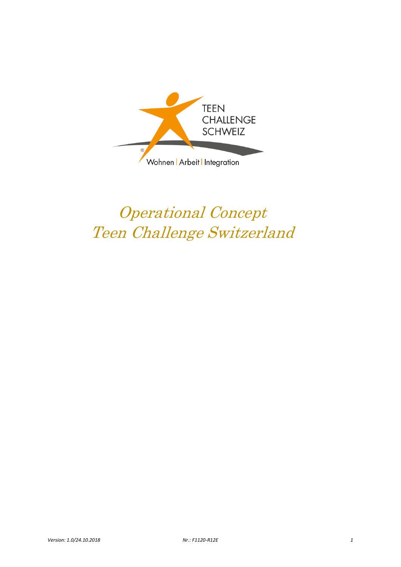

# Operational Concept Teen Challenge Switzerland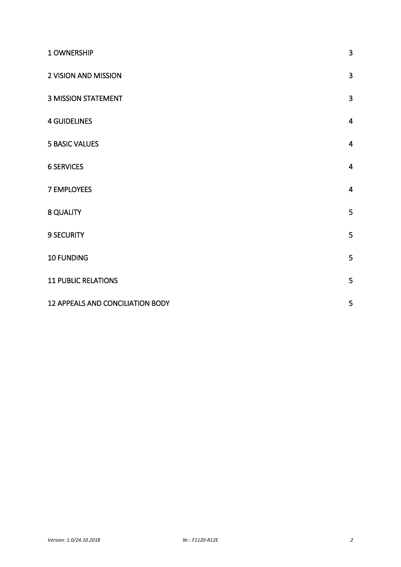| 1 OWNERSHIP                      | $\overline{3}$ |
|----------------------------------|----------------|
| 2 VISION AND MISSION             | 3              |
| <b>3 MISSION STATEMENT</b>       | $\mathbf{3}$   |
| <b>4 GUIDELINES</b>              | $\overline{4}$ |
| <b>5 BASIC VALUES</b>            | $\overline{4}$ |
| <b>6 SERVICES</b>                | $\overline{4}$ |
| <b>7 EMPLOYEES</b>               | $\overline{4}$ |
| 8 QUALITY                        | 5              |
| <b>9 SECURITY</b>                | 5              |
| 10 FUNDING                       | 5              |
| <b>11 PUBLIC RELATIONS</b>       | 5              |
| 12 APPEALS AND CONCILIATION BODY | 5              |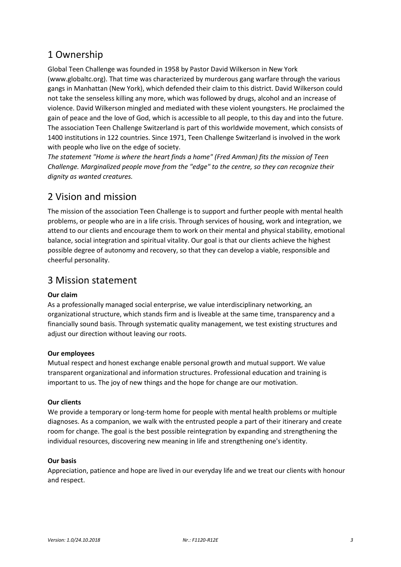## <span id="page-2-0"></span>1 Ownership

Global Teen Challenge was founded in 1958 by Pastor David Wilkerson in New York (www.globaltc.org). That time was characterized by murderous gang warfare through the various gangs in Manhattan (New York), which defended their claim to this district. David Wilkerson could not take the senseless killing any more, which was followed by drugs, alcohol and an increase of violence. David Wilkerson mingled and mediated with these violent youngsters. He proclaimed the gain of peace and the love of God, which is accessible to all people, to this day and into the future. The association Teen Challenge Switzerland is part of this worldwide movement, which consists of 1400 institutions in 122 countries. Since 1971, Teen Challenge Switzerland is involved in the work with people who live on the edge of society.

*The statement "Home is where the heart finds a home" (Fred Amman) fits the mission of Teen Challenge. Marginalized people move from the "edge" to the centre, so they can recognize their dignity as wanted creatures.*

## <span id="page-2-1"></span>2 Vision and mission

The mission of the association Teen Challenge is to support and further people with mental health problems, or people who are in a life crisis. Through services of housing, work and integration, we attend to our clients and encourage them to work on their mental and physical stability, emotional balance, social integration and spiritual vitality. Our goal is that our clients achieve the highest possible degree of autonomy and recovery, so that they can develop a viable, responsible and cheerful personality.

## <span id="page-2-2"></span>3 Mission statement

## **Our claim**

As a professionally managed social enterprise, we value interdisciplinary networking, an organizational structure, which stands firm and is liveable at the same time, transparency and a financially sound basis. Through systematic quality management, we test existing structures and adjust our direction without leaving our roots.

## **Our employees**

Mutual respect and honest exchange enable personal growth and mutual support. We value transparent organizational and information structures. Professional education and training is important to us. The joy of new things and the hope for change are our motivation.

#### **Our clients**

We provide a temporary or long-term home for people with mental health problems or multiple diagnoses. As a companion, we walk with the entrusted people a part of their itinerary and create room for change. The goal is the best possible reintegration by expanding and strengthening the individual resources, discovering new meaning in life and strengthening one's identity.

## **Our basis**

Appreciation, patience and hope are lived in our everyday life and we treat our clients with honour and respect.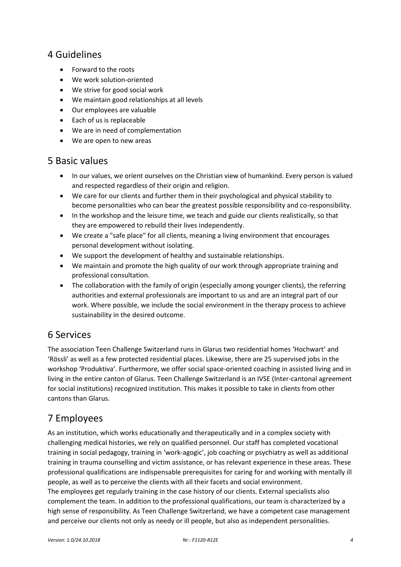## <span id="page-3-0"></span>4 Guidelines

- Forward to the roots
- We work solution-oriented
- We strive for good social work
- We maintain good relationships at all levels
- Our employees are valuable
- Each of us is replaceable
- We are in need of complementation
- We are open to new areas

## <span id="page-3-1"></span>5 Basic values

- In our values, we orient ourselves on the Christian view of humankind. Every person is valued and respected regardless of their origin and religion.
- We care for our clients and further them in their psychological and physical stability to become personalities who can bear the greatest possible responsibility and co-responsibility.
- In the workshop and the leisure time, we teach and guide our clients realistically, so that they are empowered to rebuild their lives independently.
- We create a "safe place" for all clients, meaning a living environment that encourages personal development without isolating.
- We support the development of healthy and sustainable relationships.
- We maintain and promote the high quality of our work through appropriate training and professional consultation.
- The collaboration with the family of origin (especially among younger clients), the referring authorities and external professionals are important to us and are an integral part of our work. Where possible, we include the social environment in the therapy process to achieve sustainability in the desired outcome.

## <span id="page-3-2"></span>6 Services

The association Teen Challenge Switzerland runs in Glarus two residential homes 'Hochwart' and 'Rössli' as well as a few protected residential places. Likewise, there are 25 supervised jobs in the workshop 'Produktiva'. Furthermore, we offer social space-oriented coaching in assisted living and in living in the entire canton of Glarus. Teen Challenge Switzerland is an IVSE (Inter-cantonal agreement for social institutions) recognized institution. This makes it possible to take in clients from other cantons than Glarus.

# <span id="page-3-3"></span>7 Employees

As an institution, which works educationally and therapeutically and in a complex society with challenging medical histories, we rely on qualified personnel. Our staff has completed vocational training in social pedagogy, training in 'work-agogic', job coaching or psychiatry as well as additional training in trauma counselling and victim assistance, or has relevant experience in these areas. These professional qualifications are indispensable prerequisites for caring for and working with mentally ill people, as well as to perceive the clients with all their facets and social environment. The employees get regularly training in the case history of our clients. External specialists also complement the team. In addition to the professional qualifications, our team is characterized by a high sense of responsibility. As Teen Challenge Switzerland, we have a competent case management and perceive our clients not only as needy or ill people, but also as independent personalities.